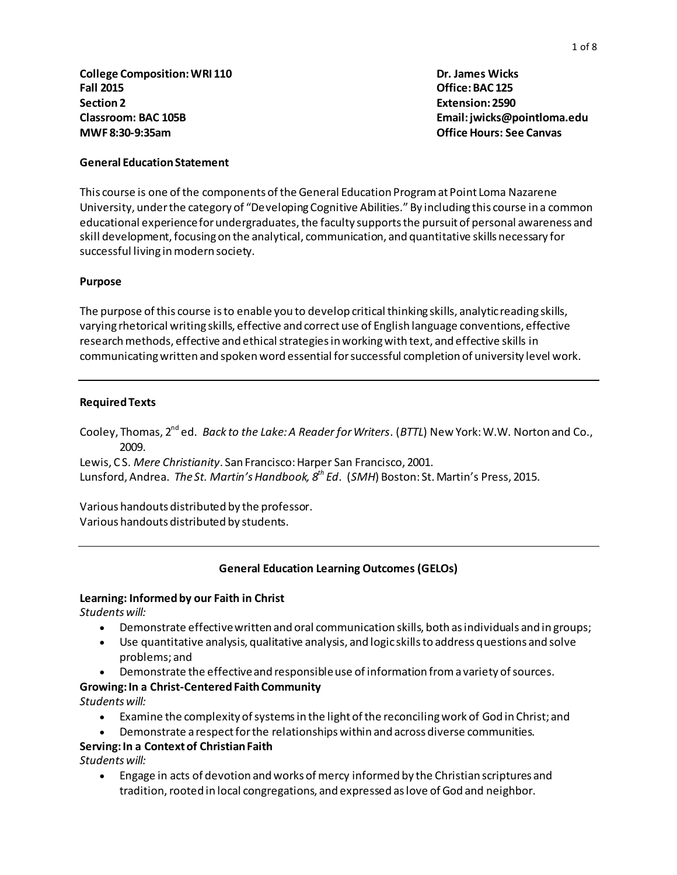**College Composition: WRI 110 Fall 2015 Section 2 Classroom: BAC 105B MWF 8:30-9:35am**

 **Dr. James Wicks Office: BAC 125 Extension: 2590 Email: jwicks@pointloma.edu Office Hours: See Canvas**

#### **General Education Statement**

This course is one of the components of the General Education Program at Point Loma Nazarene University, under the category of "Developing Cognitive Abilities." By including this course in a common educational experience for undergraduates, the faculty supports the pursuit of personal awareness and skill development, focusing on the analytical, communication, and quantitative skills necessary for successful living in modern society.

#### **Purpose**

The purpose of this course is to enable you to develop critical thinking skills, analytic reading skills, varying rhetorical writing skills, effective and correct use of English language conventions, effective research methods, effective and ethical strategies in working with text, and effective skills in communicating written and spoken word essential for successful completion of university level work.

#### **Required Texts**

Cooley, Thomas, 2<sup>nd</sup> ed. *Back to the Lake: A Reader for Writers*. (*BTTL*) New York: W.W. Norton and Co., 2009.

Lewis, C S. *Mere Christianity*. San Francisco: Harper San Francisco, 2001. Lunsford, Andrea. *The St. Martin's Handbook, 8 th Ed*. (*SMH*) Boston: St. Martin's Press, 2015.

Various handouts distributed by the professor. Various handouts distributed by students.

#### **General Education Learning Outcomes (GELOs)**

#### **Learning: Informed by our Faith in Christ**

*Students will:*

- Demonstrate effective written and oral communication skills, both as individuals and in groups;
- Use quantitative analysis, qualitative analysis, and logic skills to address questions and solve problems; and
- Demonstrate the effective and responsible use of information from a variety of sources.

#### **Growing: In a Christ-Centered Faith Community**

*Students will:*

- Examine the complexity of systems in the light of the reconciling work of God in Christ; and
- Demonstrate a respect for the relationships within and across diverse communities.

### **Serving: In a Context of Christian Faith**

*Students will:*

 Engage in acts of devotion and works of mercy informed by the Christian scriptures and tradition, rooted in local congregations, and expressed as love of God and neighbor.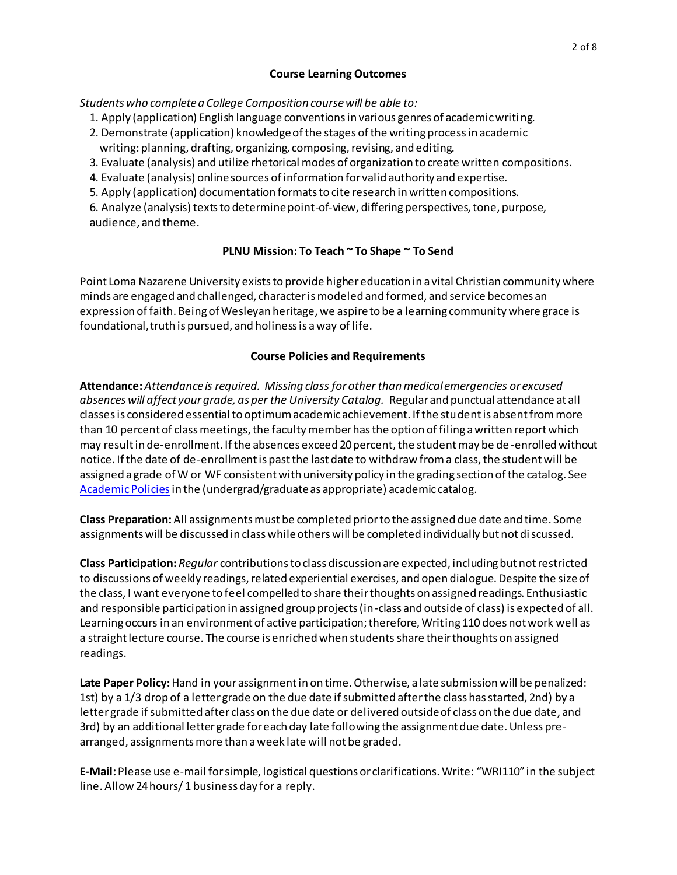### **Course Learning Outcomes**

*Students who complete a College Composition course will be able to:*

- 1. Apply (application) English language conventions in various genres of academic writing.
- 2. Demonstrate (application) knowledge of the stages of the writing process in academic writing: planning, drafting, organizing, composing, revising, and editing.
- 3. Evaluate (analysis) and utilize rhetorical modes of organization to create written compositions.
- 4. Evaluate (analysis) online sources of information for valid authority and expertise.
- 5. Apply (application) documentation formats to cite research in written compositions.

6. Analyze (analysis) texts to determine point-of-view, differing perspectives, tone, purpose, audience, and theme.

## **PLNU Mission: To Teach ~ To Shape ~ To Send**

Point Loma Nazarene University exists to provide higher education in a vital Christian community where minds are engaged and challenged, character is modeled and formed, and service becomes an expression of faith. Being of Wesleyan heritage, we aspire to be a learning community where grace is foundational, truth is pursued, and holiness is a way of life.

### **Course Policies and Requirements**

**Attendance:** *Attendance is required. Missing class for other than medical emergencies or excused absences will affect your grade, as per the University Catalog.* Regular and punctual attendance at all classes is considered essential to optimum academic achievement. If the student is absent from more than 10 percent of class meetings, the faculty member has the option of filing a written report which may result in de-enrollment. If the absences exceed 20 percent, the student may be de-enrolled without notice. If the date of de-enrollment is past the last date to withdraw from a class, the student will be assigned a grade of W or WF consistent with university policy in the grading section of the catalog. See [Academic Policies](http://catalog.pointloma.edu/index.php) in the (undergrad/graduate as appropriate) academic catalog.

**Class Preparation:** All assignments must be completed prior to the assigned due date and time. Some assignments will be discussed in class while others will be completed individually but not discussed.

**Class Participation:** *Regular* contributions to class discussion are expected, including but not restricted to discussions of weekly readings, related experiential exercises, and open dialogue. Despite the size of the class, I want everyone to feel compelled to share their thoughts on assigned readings. Enthusiastic and responsible participation in assigned group projects (in-class and outside of class) is expected of all. Learning occurs in an environment of active participation; therefore, Writing 110 does not work well as a straight lecture course. The course is enriched when students share their thoughts on assigned readings.

**Late Paper Policy:** Hand in your assignment in on time. Otherwise, a late submission will be penalized: 1st) by a 1/3 drop of a letter grade on the due date if submitted after the class has started, 2nd) by a letter grade if submitted after class on the due date or delivered outside of class on the due date, and 3rd) by an additional letter grade for each day late following the assignment due date. Unless prearranged, assignments more than a week late will not be graded.

**E-Mail:**Please use e-mail for simple, logistical questions or clarifications. Write: "WRI110" in the subject line. Allow 24 hours/ 1 business day for a reply.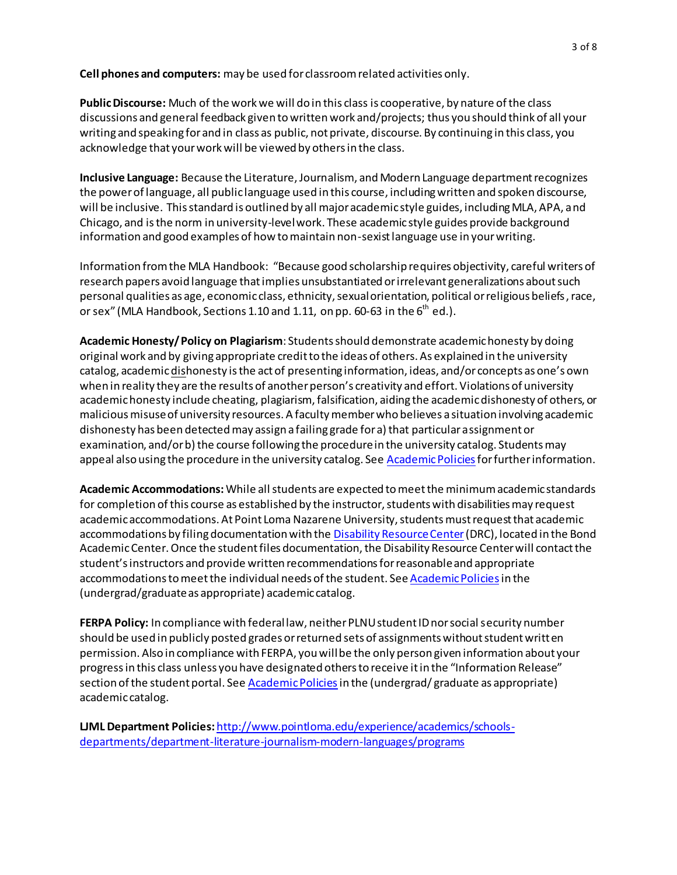**Cell phones and computers:** may be used for classroom related activities only.

**Public Discourse:** Much of the work we will do in this class is cooperative, by nature of the class discussions and general feedback given to written work and/projects; thus you should think of all your writing and speaking for and in class as public, not private, discourse. By continuing in this class, you acknowledge that your work will be viewed by others in the class.

**Inclusive Language:** Because the Literature, Journalism, and Modern Language department recognizes the power of language, all public language used in this course, including written and spoken discourse, will be inclusive. This standard is outlined by all major academic style guides, including MLA, APA, and Chicago, and is the norm in university-level work. These academic style guides provide background information and good examples of how to maintain non-sexist language use in your writing.

Information from the MLA Handbook: "Because good scholarship requires objectivity, careful writers of research papers avoid language that implies unsubstantiated or irrelevant generalizations about such personal qualities as age, economic class, ethnicity, sexual orientation, political or religious beliefs, race, or sex" (MLA Handbook, Sections 1.10 and 1.11, on pp. 60-63 in the  $6<sup>th</sup>$  ed.).

**Academic Honesty/ Policy on Plagiarism**: Students should demonstrate academic honesty by doing original work and by giving appropriate credit to the ideas of others. As explained in the university catalog, academic dishonesty is the act of presenting information, ideas, and/or concepts as one's own when in reality they are the results of another person's creativity and effort. Violations of university academic honesty include cheating, plagiarism, falsification, aiding the academic dishonesty of others, or malicious misuse of university resources. A faculty member who believes a situation involving academic dishonesty has been detected may assign a failing grade for a) that particular assignment or examination, and/or b) the course following the procedure in the university catalog. Students may appeal also using the procedure in the university catalog. Se[e Academic Policies](http://catalog.pointloma.edu/index.php) for further information.

**Academic Accommodations:** While all students are expected to meet the minimum academic standards for completion of this course as established by the instructor, students with disabilities may request academic accommodations. At Point Loma Nazarene University, students must request that academic accommodations by filing documentation with th[e Disability Resource Center](http://www.pointloma.edu/experience/offices/administrative-offices/academic-advising-office/disability-resource-center) (DRC), located in the Bond Academic Center. Once the student files documentation, the Disability Resource Center will contact the student's instructors and provide written recommendations for reasonable and appropriate accommodations to meet the individual needs of the student. Se[e Academic Policies](http://catalog.pointloma.edu/index.php)in the (undergrad/graduate as appropriate) academic catalog.

**FERPA Policy:** In compliance with federal law, neither PLNU student ID nor social security number should be used in publicly posted grades or returned sets of assignments without student written permission. Also in compliance with FERPA, you will be the only person given information about your progress in this class unless you have designated others to receive it in the "Information Release" section of the student portal. Se[e Academic Policies](http://catalog.pointloma.edu/index.php)in the (undergrad/ graduate as appropriate) academic catalog.

**LJML Department Policies:** [http://www.pointloma.edu/experience/academics/schools](http://www.pointloma.edu/experience/academics/schools-departments/department-literature-journalism-modern-languages/programs)[departments/department-literature-journalism-modern-languages/programs](http://www.pointloma.edu/experience/academics/schools-departments/department-literature-journalism-modern-languages/programs)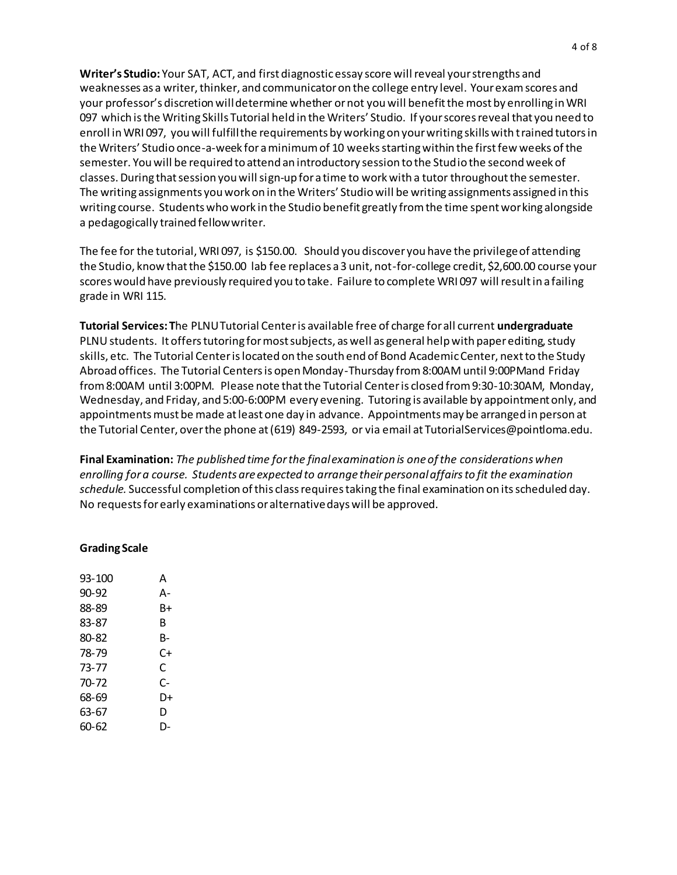**Writer's Studio:** Your SAT, ACT, and first diagnostic essay score will reveal your strengths and weaknesses as a writer, thinker, and communicator on the college entry level. Your exam scores and your professor's discretion will determine whether or not you will benefit the most by enrolling in WRI 097 which is the Writing Skills Tutorial held in the Writers' Studio. If your scores reveal that you need to enroll in WRI 097, you will fulfill the requirements by working on your writing skills with trained tutors in the Writers' Studio once-a-week for a minimum of 10 weeks starting within the first few weeks of the semester. You will be required to attend an introductory session to the Studio the second week of classes. During that session you will sign-up for a time to work with a tutor throughout the semester. The writing assignments you work on in the Writers' Studio will be writing assignments assigned in this writing course. Students who work in the Studio benefit greatly from the time spent working alongside a pedagogically trained fellow writer.

The fee for the tutorial, WRI 097, is \$150.00. Should you discover you have the privilege of attending the Studio, know that the \$150.00 lab fee replaces a 3 unit, not-for-college credit, \$2,600.00 course your scores would have previously required you to take. Failure to complete WRI 097 will result in a failing grade in WRI 115.

**Tutorial Services: T**he PLNU Tutorial Center is available free of charge for all current **undergraduate**  PLNU students. It offers tutoring for most subjects, as well as general help with paper editing, study skills, etc. The Tutorial Center is located on the south end of Bond Academic Center, next to the Study Abroad offices. The Tutorial Centers is open Monday-Thursday from 8:00AM until 9:00PMand Friday from 8:00AM until 3:00PM. Please note that the Tutorial Center is closed from 9:30-10:30AM, Monday, Wednesday, and Friday, and 5:00-6:00PM every evening. Tutoring is available by appointment only, and appointments must be made at least one day in advance. Appointments may be arranged in person at the Tutorial Center, over the phone at (619) 849-2593, or via email at TutorialServices@pointloma.edu.

**Final Examination:** *The published time for the final examination is one of the considerations when enrolling for a course. Students are expected to arrange their personal affairs to fit the examination schedule.* Successful completion of this class requires taking the final examination on its scheduled day. No requests for early examinations or alternative days will be approved.

| 93-100 | А  |
|--------|----|
| 90-92  | А- |
| 88-89  | B+ |
| 83-87  | в  |
| 80-82  | B- |
| 78-79  | C+ |
| 73-77  | C  |
| 70-72  | C- |
| 68-69  | D+ |
| 63-67  | D  |
| 60-62  | D- |
|        |    |

#### **Grading Scale**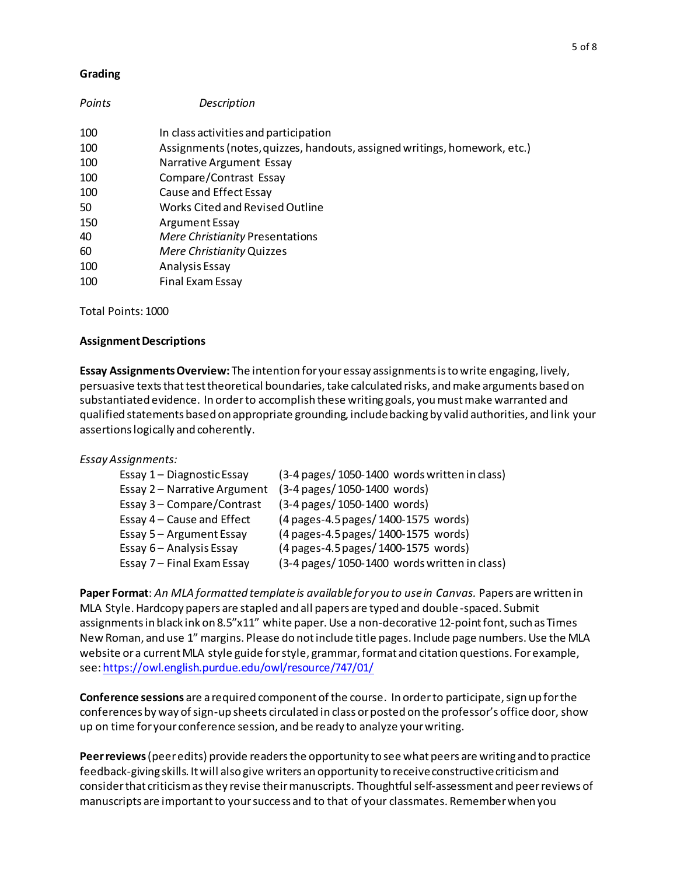## **Grading**

| Points | Description                                                               |
|--------|---------------------------------------------------------------------------|
| 100    | In class activities and participation                                     |
| 100    | Assignments (notes, quizzes, handouts, assigned writings, homework, etc.) |
| 100    | Narrative Argument Essay                                                  |
| 100    | Compare/Contrast Essay                                                    |
| 100    | Cause and Effect Essay                                                    |
| 50     | Works Cited and Revised Outline                                           |
| 150    | Argument Essay                                                            |
| 40     | Mere Christianity Presentations                                           |
| 60     | <b>Mere Christianity Quizzes</b>                                          |
| 100    | Analysis Essay                                                            |
| 100    | Final Exam Essay                                                          |

Total Points: 1000

### **Assignment Descriptions**

**Essay Assignments Overview:** The intention for your essay assignments is to write engaging, lively, persuasive texts that test theoretical boundaries, take calculated risks, and make arguments based on substantiated evidence. In order to accomplish these writing goals, you must make warranted and qualified statements based on appropriate grounding, include backing by valid authorities, and link your assertions logically and coherently.

### *Essay Assignments:*

| Essay 1-Diagnostic Essay     | (3-4 pages/1050-1400 words written in class) |
|------------------------------|----------------------------------------------|
| Essay 2 - Narrative Argument | (3-4 pages/1050-1400 words)                  |
| Essay 3 - Compare/Contrast   | (3-4 pages/1050-1400 words)                  |
| Essay 4 – Cause and Effect   | (4 pages-4.5 pages/1400-1575 words)          |
| Essay 5 - Argument Essay     | (4 pages-4.5 pages/1400-1575 words)          |
| Essay 6 - Analysis Essay     | (4 pages-4.5 pages/ 1400-1575 words)         |
| Essay 7 - Final Exam Essay   | (3-4 pages/1050-1400 words written in class) |
|                              |                                              |

**Paper Format**: *An MLA formatted template is available for you to use in Canvas.* Papers are written in MLA Style. Hardcopy papers are stapled and all papers are typed and double-spaced. Submit assignments in black ink on 8.5"x11" white paper. Use a non-decorative 12-point font, such as Times New Roman, and use 1" margins. Please do not include title pages. Include page numbers. Use the MLA website or a current MLA style guide for style, grammar, format and citation questions. For example, see[: https://owl.english.purdue.edu/owl/resource/747/01/](https://owl.english.purdue.edu/owl/resource/747/01/)

**Conference sessions** are a required component of the course. In order to participate, sign up for the conferences by way of sign-up sheets circulated in class or posted on the professor's office door, show up on time for your conference session, and be ready to analyze your writing.

**Peer reviews**(peer edits) provide readers the opportunity to see what peers are writing and to practice feedback-giving skills. It will also give writers an opportunity to receive constructive criticism and consider that criticism as they revise their manuscripts. Thoughtful self-assessment and peer reviews of manuscripts are important to your success and to that of your classmates. Remember when you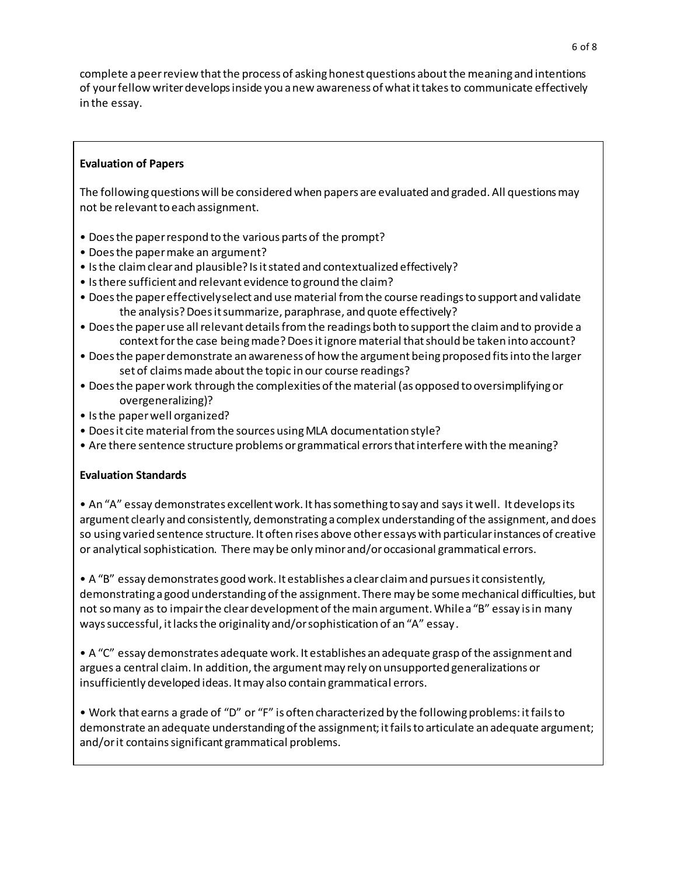complete a peer review that the process of asking honest questions about the meaning and intentions of your fellow writer develops inside you a new awareness of what it takes to communicate effectively in the essay.

## **Evaluation of Papers**

The following questions will be considered when papers are evaluated and graded. All questions may not be relevant to each assignment.

- Does the paper respond to the various parts of the prompt?
- Does the paper make an argument?
- Is the claim clear and plausible? Is it stated and contextualized effectively?
- Is there sufficient and relevant evidence to ground the claim?
- Does the paper effectively select and use material from the course readings to support and validate the analysis? Does it summarize, paraphrase, and quote effectively?
- Does the paper use all relevant details from the readings both to support the claim and to provide a context for the case being made? Does it ignore material that should be taken into account?
- Does the paper demonstrate an awareness of how the argument being proposed fits into the larger set of claims made about the topic in our course readings?
- Does the paper work through the complexities of the material (as opposed to oversimplifying or overgeneralizing)?
- Is the paper well organized?
- Does it cite material from the sources using MLA documentation style?
- Are there sentence structure problems or grammatical errors that interfere with the meaning?

## **Evaluation Standards**

• An "A" essay demonstrates excellent work. It has something to say and says it well. It develops its argument clearly and consistently, demonstrating a complex understanding of the assignment, and does so using varied sentence structure. It often rises above other essays with particular instances of creative or analytical sophistication. There may be only minor and/or occasional grammatical errors.

• A "B" essay demonstrates good work. It establishes a clear claim and pursues it consistently, demonstrating a good understanding of the assignment. There may be some mechanical difficulties, but not so many as to impair the clear development of the main argument. While a "B" essay is in many ways successful, it lacks the originality and/or sophistication of an "A" essay.

• A "C" essay demonstrates adequate work. It establishes an adequate grasp of the assignment and argues a central claim. In addition, the argument may rely on unsupported generalizations or insufficiently developed ideas. It may also contain grammatical errors.

• Work that earns a grade of "D" or "F" is often characterized by the following problems: it fails to demonstrate an adequate understanding of the assignment; it fails to articulate an adequate argument; and/or it contains significant grammatical problems.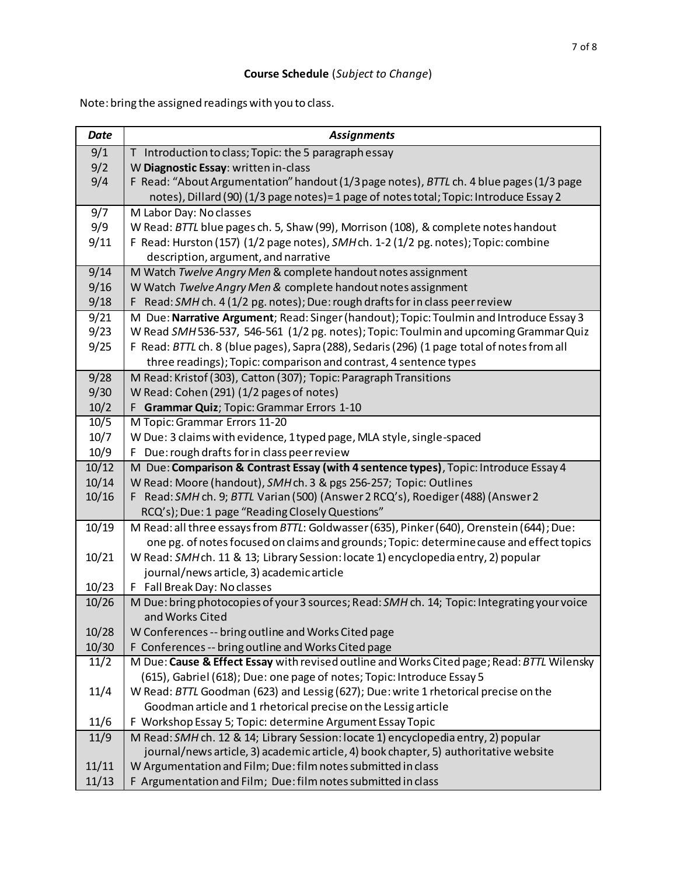# **Course Schedule** (*Subject to Change*)

Note: bring the assigned readings with you to class.

| <b>Date</b> | <b>Assignments</b>                                                                                             |
|-------------|----------------------------------------------------------------------------------------------------------------|
| 9/1         | T Introduction to class; Topic: the 5 paragraph essay                                                          |
| 9/2         | W Diagnostic Essay: written in-class                                                                           |
| 9/4         | F Read: "About Argumentation" handout (1/3 page notes), BTTL ch. 4 blue pages (1/3 page                        |
|             | notes), Dillard (90) (1/3 page notes) = 1 page of notes total; Topic: Introduce Essay 2                        |
| 9/7         | M Labor Day: No classes                                                                                        |
| 9/9         | W Read: BTTL blue pages ch. 5, Shaw (99), Morrison (108), & complete notes handout                             |
| 9/11        | F Read: Hurston (157) (1/2 page notes), SMHch. 1-2 (1/2 pg. notes); Topic: combine                             |
|             | description, argument, and narrative                                                                           |
| 9/14        | M Watch Twelve Angry Men & complete handout notes assignment                                                   |
| 9/16        | W Watch Twelve Angry Men & complete handout notes assignment                                                   |
| 9/18        | F Read: SMH ch. 4 (1/2 pg. notes); Due: rough drafts for in class peer review                                  |
| 9/21        | M Due: Narrative Argument; Read: Singer (handout); Topic: Toulmin and Introduce Essay 3                        |
| 9/23        | W Read SMH 536-537, 546-561 (1/2 pg. notes); Topic: Toulmin and upcoming Grammar Quiz                          |
| 9/25        | F Read: BTTL ch. 8 (blue pages), Sapra (288), Sedaris (296) (1 page total of notes from all                    |
|             | three readings); Topic: comparison and contrast, 4 sentence types                                              |
| 9/28        | M Read: Kristof (303), Catton (307); Topic: Paragraph Transitions                                              |
| 9/30        | W Read: Cohen (291) (1/2 pages of notes)                                                                       |
| 10/2        | F Grammar Quiz; Topic: Grammar Errors 1-10                                                                     |
| 10/5        | M Topic: Grammar Errors 11-20                                                                                  |
| 10/7        | W Due: 3 claims with evidence, 1 typed page, MLA style, single-spaced                                          |
| 10/9        | F Due: rough drafts for in class peer review                                                                   |
| 10/12       | M Due: Comparison & Contrast Essay (with 4 sentence types), Topic: Introduce Essay 4                           |
| 10/14       | W Read: Moore (handout), SMHch. 3 & pgs 256-257; Topic: Outlines                                               |
| 10/16       | F Read: SMH ch. 9; BTTL Varian (500) (Answer 2 RCQ's), Roediger (488) (Answer 2                                |
|             | RCQ's); Due: 1 page "Reading Closely Questions"                                                                |
| 10/19       | M Read: all three essays from BTTL: Goldwasser (635), Pinker (640), Orenstein (644); Due:                      |
|             | one pg. of notes focused on claims and grounds; Topic: determine cause and effect topics                       |
| 10/21       | W Read: SMHch. 11 & 13; Library Session: locate 1) encyclopedia entry, 2) popular                              |
|             | journal/news article, 3) academic article                                                                      |
| 10/23       | F Fall Break Day: No classes                                                                                   |
| 10/26       | M Due: bring photocopies of your 3 sources; Read: SMH ch. 14; Topic: Integrating your voice<br>and Works Cited |
| 10/28       | W Conferences -- bring outline and Works Cited page                                                            |
| 10/30       | F Conferences -- bring outline and Works Cited page                                                            |
| 11/2        | M Due: Cause & Effect Essay with revised outline and Works Cited page; Read: BTTL Wilensky                     |
|             | (615), Gabriel (618); Due: one page of notes; Topic: Introduce Essay 5                                         |
| 11/4        | W Read: BTTL Goodman (623) and Lessig (627); Due: write 1 rhetorical precise on the                            |
|             | Goodman article and 1 rhetorical precise on the Lessig article                                                 |
| 11/6        | F Workshop Essay 5; Topic: determine Argument Essay Topic                                                      |
| 11/9        | M Read: SMH ch. 12 & 14; Library Session: locate 1) encyclopedia entry, 2) popular                             |
|             | journal/news article, 3) academic article, 4) book chapter, 5) authoritative website                           |
| 11/11       | W Argumentation and Film; Due: film notes submitted in class                                                   |
| 11/13       | F Argumentation and Film; Due: film notes submitted in class                                                   |